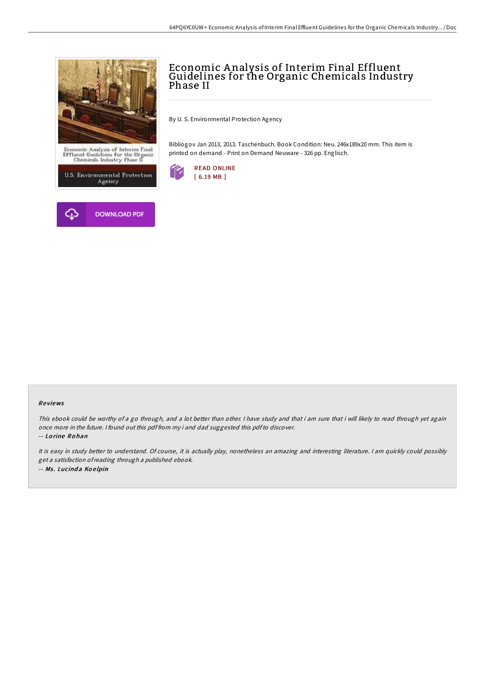



# Economic Analysis of Interim Final Effluent Guidelines for the Organic Chemicals Industry Phase II

By U. S. Environmental Protection Agency

Bibliogov Jan 2013, 2013. Taschenbuch. Book Condition: Neu. 246x189x20 mm. This item is printed on demand - Print on Demand Neuware - 326 pp. Englisch.



#### Re views

This ebook could be worthy of <sup>a</sup> go through, and <sup>a</sup> lot better than other. <sup>I</sup> have study and that i am sure that i will likely to read through yet again once more in the future. <sup>I</sup> found out this pdf from my i and dad suggested this pdfto discover.

-- Lo rine Ro han

It is easy in study better to understand. Of course, it is actually play, nonetheless an amazing and interesting literature. <sup>I</sup> am quickly could possibly get <sup>a</sup> satisfaction ofreading through <sup>a</sup> published ebook. -- Ms. Lucinda Koelpin